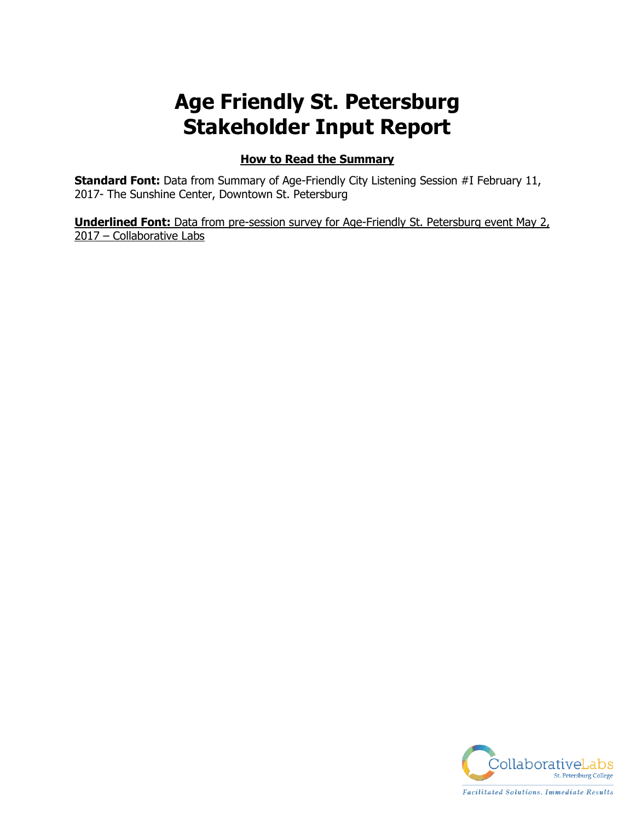# **Age Friendly St. Petersburg Stakeholder Input Report**

# **How to Read the Summary**

**Standard Font:** Data from Summary of Age-Friendly City Listening Session #I February 11, 2017- The Sunshine Center, Downtown St. Petersburg

**Underlined Font:** Data from pre-session survey for Age-Friendly St. Petersburg event May 2, 2017 – Collaborative Labs

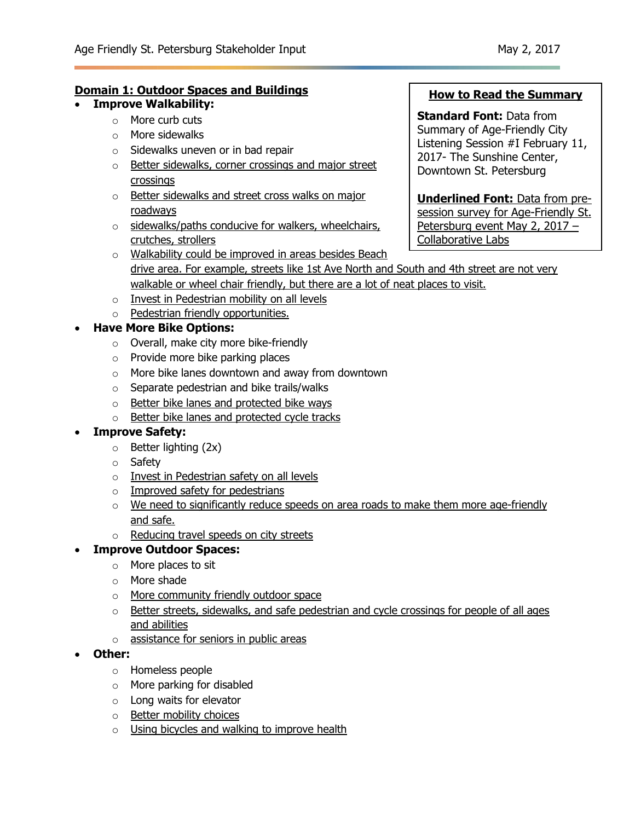## **Domain 1: Outdoor Spaces and Buildings**

- **Improve Walkability:**
	- o More curb cuts
	- o More sidewalks
	- o Sidewalks uneven or in bad repair
	- o Better sidewalks, corner crossings and major street crossings
	- o Better sidewalks and street cross walks on major roadways
	- $\circ$  sidewalks/paths conducive for walkers, wheelchairs, crutches, strollers

### **How to Read the Summary**

**Standard Font:** Data from Summary of Age-Friendly City Listening Session #I February 11, 2017- The Sunshine Center, Downtown St. Petersburg

**Underlined Font:** Data from presession survey for Age-Friendly St. Petersburg event May 2, 2017 – Collaborative Labs

- o Walkability could be improved in areas besides Beach drive area. For example, streets like 1st Ave North and South and 4th street are not very walkable or wheel chair friendly, but there are a lot of neat places to visit.
- o Invest in Pedestrian mobility on all levels
- o Pedestrian friendly opportunities.

### **Have More Bike Options:**

- o Overall, make city more bike-friendly
- o Provide more bike parking places
- o More bike lanes downtown and away from downtown
- o Separate pedestrian and bike trails/walks
- o Better bike lanes and protected bike ways
- o Better bike lanes and protected cycle tracks

### **Improve Safety:**

- $\circ$  Better lighting (2x)
- o Safety
- o Invest in Pedestrian safety on all levels
- o Improved safety for pedestrians
- o We need to significantly reduce speeds on area roads to make them more age-friendly and safe.
- o Reducing travel speeds on city streets

### **Improve Outdoor Spaces:**

- o More places to sit
- o More shade
- o More community friendly outdoor space
- o Better streets, sidewalks, and safe pedestrian and cycle crossings for people of all ages and abilities
- o assistance for seniors in public areas

#### **Other:**

- o Homeless people
- o More parking for disabled
- o Long waits for elevator
- o Better mobility choices
- o Using bicycles and walking to improve health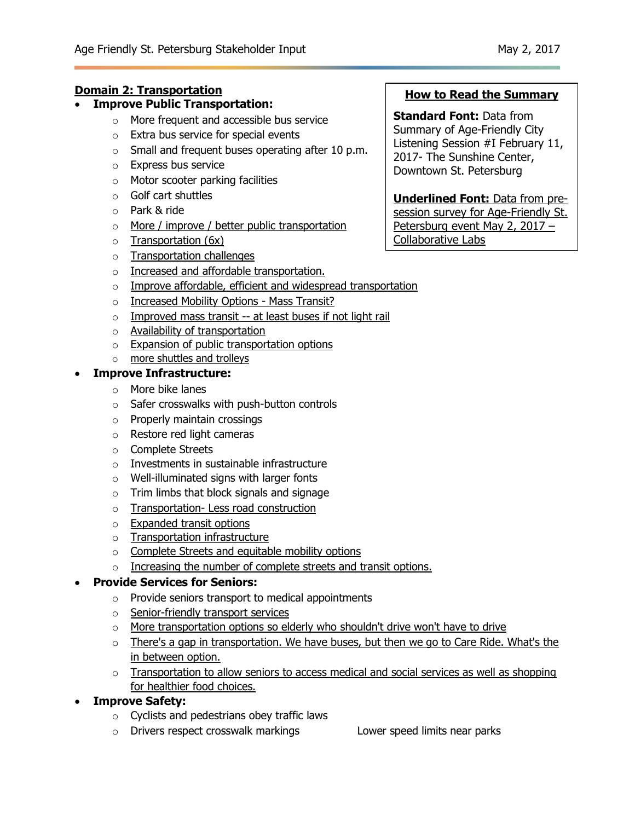# **Domain 2: Transportation**

- **Improve Public Transportation:**
	- o More frequent and accessible bus service
	- o Extra bus service for special events
	- $\circ$  Small and frequent buses operating after 10 p.m.
	- o Express bus service
	- o Motor scooter parking facilities
	- o Golf cart shuttles
	- o Park & ride
	- o More / improve / better public transportation
	- $\circ$  Transportation (6x)
	- o Transportation challenges
	- o Increased and affordable transportation.
	- o Improve affordable, efficient and widespread transportation
	- o Increased Mobility Options Mass Transit?
	- $\circ$  Improved mass transit -- at least buses if not light rail
	- o Availability of transportation
	- o Expansion of public transportation options
	- o more shuttles and trolleys

# **Improve Infrastructure:**

- o More bike lanes
- o Safer crosswalks with push-button controls
- o Properly maintain crossings
- o Restore red light cameras
- o Complete Streets
- o Investments in sustainable infrastructure
- o Well-illuminated signs with larger fonts
- o Trim limbs that block signals and signage
- o Transportation- Less road construction
- o Expanded transit options
- o Transportation infrastructure
- o Complete Streets and equitable mobility options
- o Increasing the number of complete streets and transit options.

# **Provide Services for Seniors:**

- $\circ$  Provide seniors transport to medical appointments
- o Senior-friendly transport services
- o More transportation options so elderly who shouldn't drive won't have to drive
- $\circ$  There's a gap in transportation. We have buses, but then we go to Care Ride. What's the in between option.
- $\circ$  Transportation to allow seniors to access medical and social services as well as shopping for healthier food choices.
- **Improve Safety:**
	- o Cyclists and pedestrians obey traffic laws
	- o Drivers respect crosswalk markings Lower speed limits near parks

# **How to Read the Summary**

**Standard Font:** Data from Summary of Age-Friendly City Listening Session #I February 11, 2017- The Sunshine Center, Downtown St. Petersburg

**Underlined Font:** Data from presession survey for Age-Friendly St. Petersburg event May 2, 2017 –

Collaborative Labs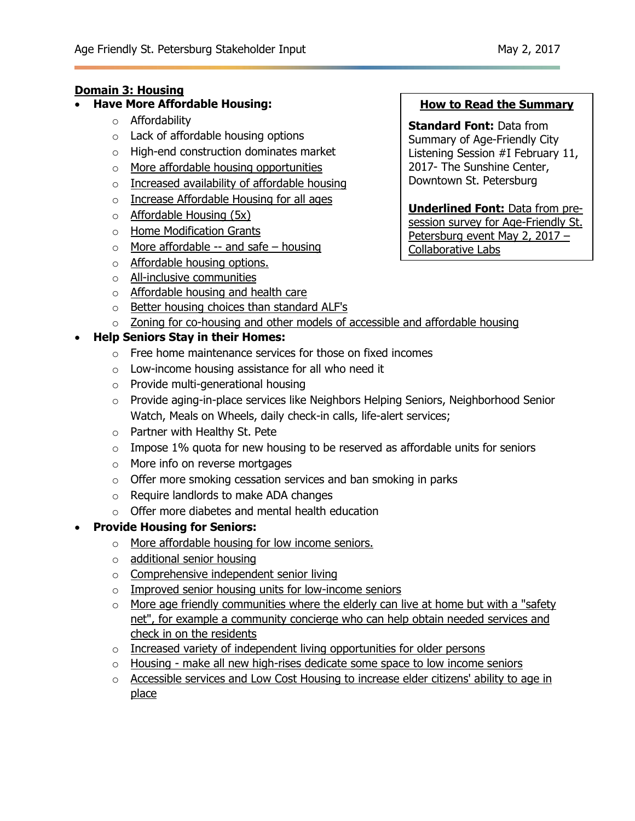### **Domain 3: Housing**

- **Have More Affordable Housing:**
	- o Affordability
	- o Lack of affordable housing options
	- o High-end construction dominates market
	- o More affordable housing opportunities
	- o Increased availability of affordable housing
	- o Increase Affordable Housing for all ages
	- $\circ$  Affordable Housing (5x)
	- o Home Modification Grants
	- $\circ$  More affordable -- and safe housing
	- o Affordable housing options.
	- o All-inclusive communities
	- o Affordable housing and health care
	- o Better housing choices than standard ALF's
	- $\circ$  Zoning for co-housing and other models of accessible and affordable housing

### **Help Seniors Stay in their Homes:**

- o Free home maintenance services for those on fixed incomes
- o Low-income housing assistance for all who need it
- o Provide multi-generational housing
- $\circ$  Provide aging-in-place services like Neighbors Helping Seniors, Neighborhood Senior Watch, Meals on Wheels, daily check-in calls, life-alert services;
- o Partner with Healthy St. Pete
- $\circ$  Impose 1% quota for new housing to be reserved as affordable units for seniors
- o More info on reverse mortgages
- $\circ$  Offer more smoking cessation services and ban smoking in parks
- o Require landlords to make ADA changes
- o Offer more diabetes and mental health education

### **Provide Housing for Seniors:**

- o More affordable housing for low income seniors.
- o additional senior housing
- o Comprehensive independent senior living
- o Improved senior housing units for low-income seniors
- o More age friendly communities where the elderly can live at home but with a "safety net", for example a community concierge who can help obtain needed services and check in on the residents
- o Increased variety of independent living opportunities for older persons
- $\circ$  Housing make all new high-rises dedicate some space to low income seniors
- o Accessible services and Low Cost Housing to increase elder citizens' ability to age in place

### **How to Read the Summary**

**Standard Font:** Data from Summary of Age-Friendly City Listening Session #I February 11, 2017- The Sunshine Center, Downtown St. Petersburg

**Underlined Font:** Data from presession survey for Age-Friendly St. Petersburg event May 2, 2017 – Collaborative Labs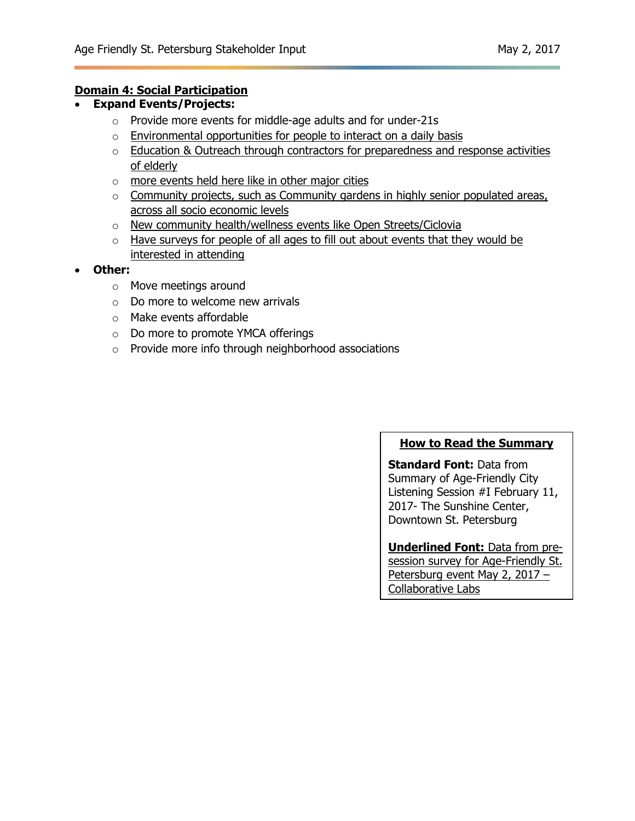### **Domain 4: Social Participation**

- **Expand Events/Projects:**
	- o Provide more events for middle-age adults and for under-21s
	- $\circ$  Environmental opportunities for people to interact on a daily basis
	- $\circ$  Education & Outreach through contractors for preparedness and response activities of elderly
	- o more events held here like in other major cities
	- $\circ$  Community projects, such as Community gardens in highly senior populated areas, across all socio economic levels
	- o New community health/wellness events like Open Streets/Ciclovia
	- $\circ$  Have surveys for people of all ages to fill out about events that they would be interested in attending
- **Other:** 
	- o Move meetings around
	- $\circ$  Do more to welcome new arrivals
	- o Make events affordable
	- o Do more to promote YMCA offerings
	- o Provide more info through neighborhood associations

### **How to Read the Summary**

**Standard Font:** Data from Summary of Age-Friendly City Listening Session #I February 11, 2017- The Sunshine Center, Downtown St. Petersburg

# **Underlined Font:** Data from pre-

session survey for Age-Friendly St. Petersburg event May 2, 2017 -Collaborative Labs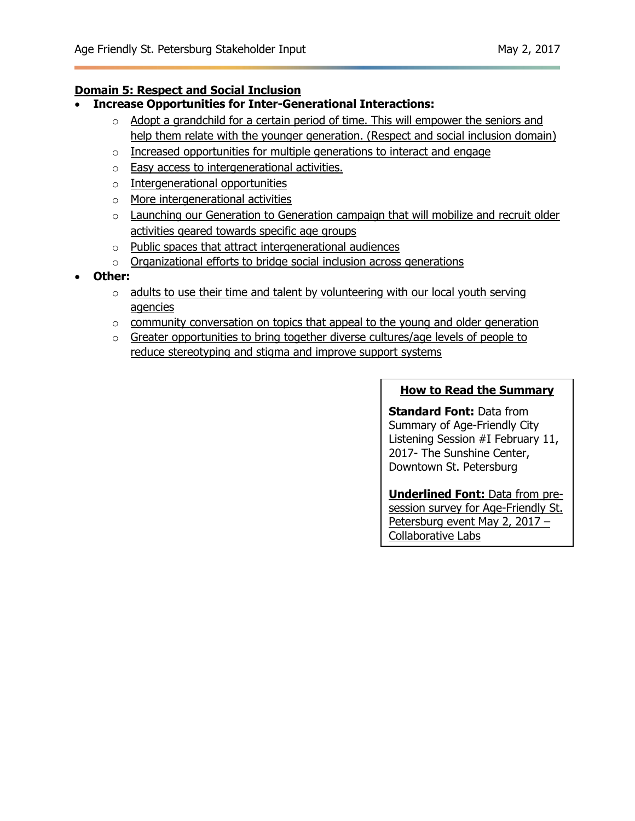# **Domain 5: Respect and Social Inclusion**

- **Increase Opportunities for Inter-Generational Interactions:**
	- $\circ$  Adopt a grandchild for a certain period of time. This will empower the seniors and help them relate with the younger generation. (Respect and social inclusion domain)
	- $\circ$  Increased opportunities for multiple generations to interact and engage
	- o Easy access to intergenerational activities.
	- o Intergenerational opportunities
	- o More intergenerational activities
	- $\circ$  Launching our Generation to Generation campaign that will mobilize and recruit older activities geared towards specific age groups
	- o Public spaces that attract intergenerational audiences
	- o Organizational efforts to bridge social inclusion across generations
- **Other:**
	- $\circ$  adults to use their time and talent by volunteering with our local youth serving agencies
	- $\circ$  community conversation on topics that appeal to the young and older generation
	- o Greater opportunities to bring together diverse cultures/age levels of people to reduce stereotyping and stigma and improve support systems

### **How to Read the Summary**

**Standard Font:** Data from Summary of Age-Friendly City Listening Session #I February 11, 2017- The Sunshine Center, Downtown St. Petersburg

**Underlined Font:** Data from presession survey for Age-Friendly St. Petersburg event May 2, 2017 – Collaborative Labs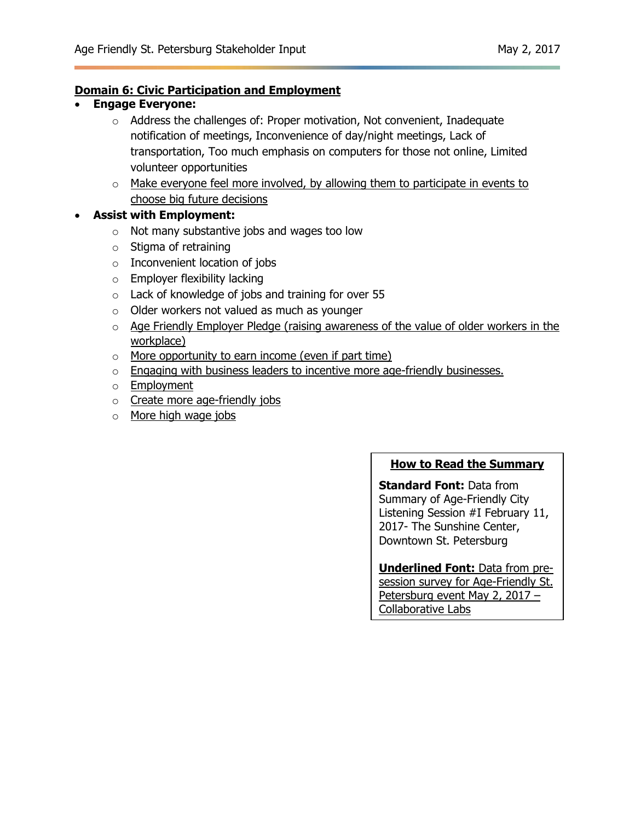### **Domain 6: Civic Participation and Employment**

- **Engage Everyone:**
	- $\circ$  Address the challenges of: Proper motivation, Not convenient, Inadequate notification of meetings, Inconvenience of day/night meetings, Lack of transportation, Too much emphasis on computers for those not online, Limited volunteer opportunities
	- $\circ$  Make everyone feel more involved, by allowing them to participate in events to choose big future decisions

### **Assist with Employment:**

- o Not many substantive jobs and wages too low
- $\circ$  Stigma of retraining
- o Inconvenient location of jobs
- o Employer flexibility lacking
- o Lack of knowledge of jobs and training for over 55
- o Older workers not valued as much as younger
- $\circ$  Age Friendly Employer Pledge (raising awareness of the value of older workers in the workplace)
- o More opportunity to earn income (even if part time)
- o Engaging with business leaders to incentive more age-friendly businesses.
- o Employment
- o Create more age-friendly jobs
- o More high wage jobs

#### **How to Read the Summary**

**Standard Font:** Data from Summary of Age-Friendly City Listening Session #I February 11, 2017- The Sunshine Center, Downtown St. Petersburg

**Underlined Font:** Data from presession survey for Age-Friendly St. Petersburg event May 2, 2017 – Collaborative Labs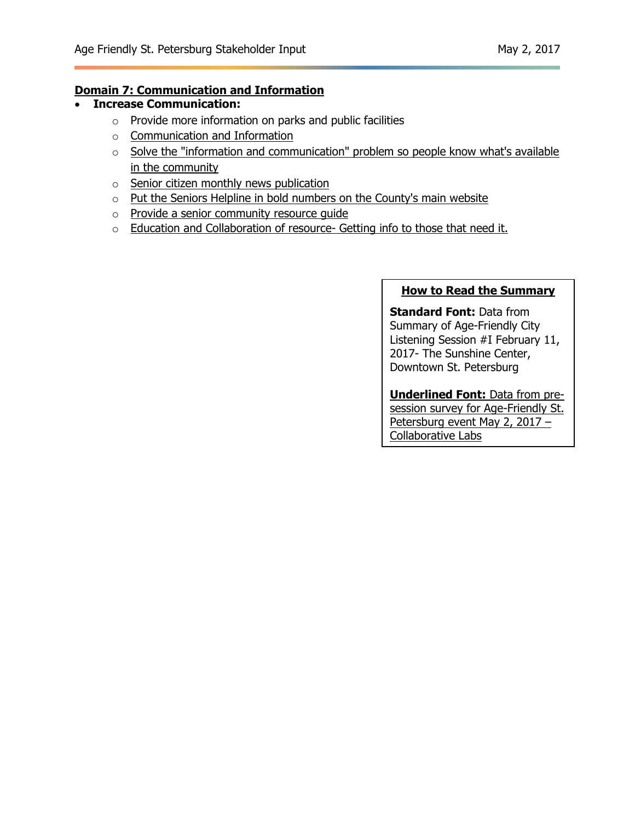### **Domain 7: Communication and Information**

- **Increase Communication:**
	- o Provide more information on parks and public facilities
	- o Communication and Information
	- o Solve the "information and communication" problem so people know what's available in the community
	- o Senior citizen monthly news publication
	- o Put the Seniors Helpline in bold numbers on the County's main website
	- o Provide a senior community resource guide
	- o Education and Collaboration of resource- Getting info to those that need it.

#### **How to Read the Summary**

**Standard Font:** Data from Summary of Age-Friendly City Listening Session #I February 11, 2017- The Sunshine Center, Downtown St. Petersburg

#### **Underlined Font:** Data from presession survey for Age-Friendly St. Petersburg event May 2, 2017 -Collaborative Labs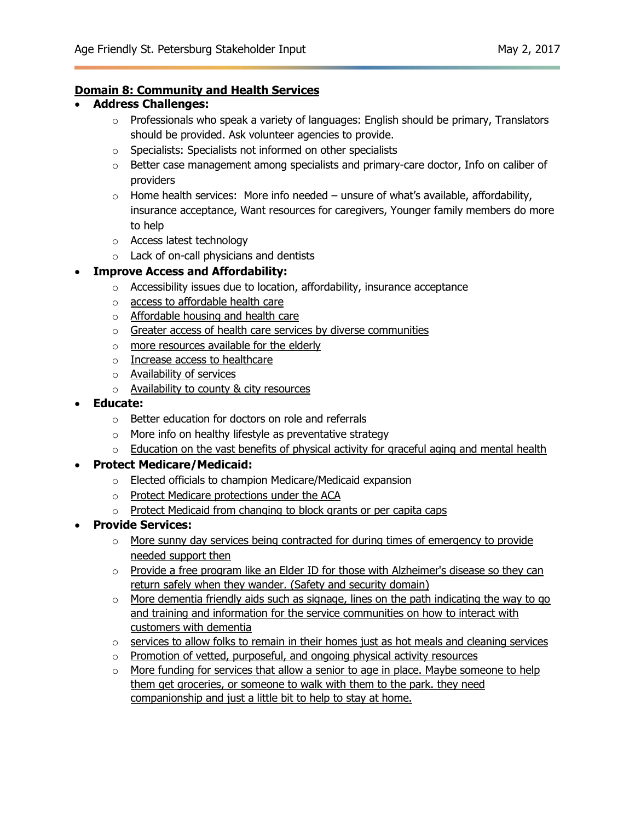### **Domain 8: Community and Health Services**

### **Address Challenges:**

- o Professionals who speak a variety of languages: English should be primary, Translators should be provided. Ask volunteer agencies to provide.
- o Specialists: Specialists not informed on other specialists
- o Better case management among specialists and primary-care doctor, Info on caliber of providers
- $\circ$  Home health services: More info needed unsure of what's available, affordability, insurance acceptance, Want resources for caregivers, Younger family members do more to help
- o Access latest technology
- o Lack of on-call physicians and dentists

### **Improve Access and Affordability:**

- o Accessibility issues due to location, affordability, insurance acceptance
- o access to affordable health care
- o Affordable housing and health care
- $\circ$  Greater access of health care services by diverse communities
- o more resources available for the elderly
- o Increase access to healthcare
- o Availability of services
- o Availability to county & city resources
- **Educate:**
	- o Better education for doctors on role and referrals
	- $\circ$  More info on healthy lifestyle as preventative strategy
	- $\circ$  Education on the vast benefits of physical activity for graceful aging and mental health

### **Protect Medicare/Medicaid:**

- o Elected officials to champion Medicare/Medicaid expansion
- o Protect Medicare protections under the ACA
- o Protect Medicaid from changing to block grants or per capita caps
- **Provide Services:**
	- $\circ$  More sunny day services being contracted for during times of emergency to provide needed support then
	- $\circ$  Provide a free program like an Elder ID for those with Alzheimer's disease so they can return safely when they wander. (Safety and security domain)
	- o More dementia friendly aids such as signage, lines on the path indicating the way to go and training and information for the service communities on how to interact with customers with dementia
	- $\circ$  services to allow folks to remain in their homes just as hot meals and cleaning services
	- o Promotion of vetted, purposeful, and ongoing physical activity resources
	- $\circ$  More funding for services that allow a senior to age in place. Maybe someone to help them get groceries, or someone to walk with them to the park. they need companionship and just a little bit to help to stay at home.